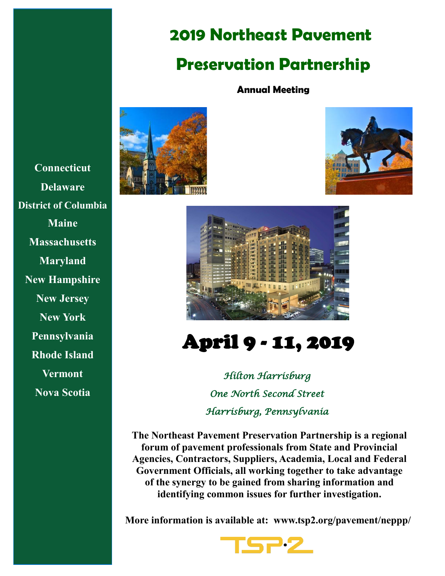# **2019 Northeast Pavement**

# **Preservation Partnership**

### **Annual Meeting**







# April 9 - 11, 2019

*Hilton Harrisburg One North Second Street Harrisburg, Pennsylvania* 

**The Northeast Pavement Preservation Partnership is a regional forum of pavement professionals from State and Provincial Agencies, Contractors, Suppliers, Academia, Local and Federal Government Officials, all working together to take advantage of the synergy to be gained from sharing information and identifying common issues for further investigation.** 

**More information is available at: www.tsp2.org/pavement/neppp/**



**Connecticut Delaware District of Columbia Maine Massachusetts Maryland New Hampshire New Jersey New York Pennsylvania Rhode Island Vermont Nova Scotia**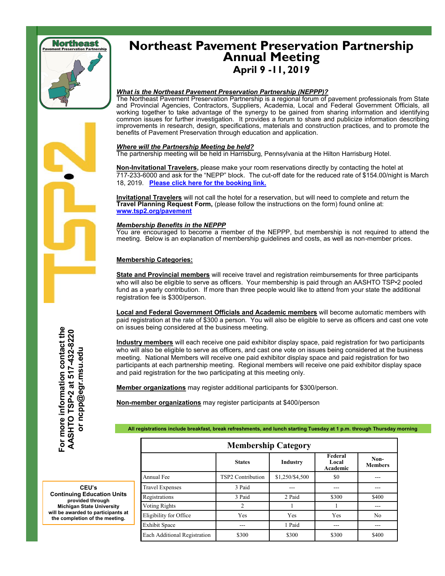

## **Northeast Pavement Preservation Partnership Annual Meeting April 9 -11, 2019**

#### *What is the Northeast Pavement Preservation Partnership (NEPPP)?*

The Northeast Pavement Preservation Partnership is a regional forum of pavement professionals from State and Provincial Agencies, Contractors, Suppliers, Academia, Local and Federal Government Officials, all working together to take advantage of the synergy to be gained from sharing information and identifying common issues for further investigation. It provides a forum to share and publicize information describing improvements in research, design, specifications, materials and construction practices, and to promote the benefits of Pavement Preservation through education and application.

#### *Where will the Partnership Meeting be held?*

The partnership meeting will be held in Harrisburg, Pennsylvania at the Hilton Harrisburg Hotel.

**Non-Invitational Travelers,** please make your room reservations directly by contacting the hotel at 717-233-6000 and ask for the "NEPP" block. The c[ut](https://na01.safelinks.protection.outlook.com/?url=https%3A%2F%2Fsecure3.hilton.com%2Fen_US%2Fhi%2Freservation%2Fbook.htm%3FinputModule%3DHOTEL%26ctyhocn%3DMDTHHHF%26spec_plan%3DNEPP%26arrival%3D20190408%26departure%3D20190411%26cid%3DOM%2CWW%2CHILTONLINK%25)-off date for the reduced rate of \$154.00/night is March 18, 2019. **[Please click here for the booking link.](http://bit.ly/2Tfjd16)**

**Invitational Travelers** will not call the hotel for a reservation, but will need to complete and return the **Travel Planning Request Form,** (please follow the instructions on the form) found online at: **[www.tsp2.org/pavement](https://tsp2pavement.pavementpreservation.org/files/2014/02/Travel-Request-Form-NEPPP.pdf)**

#### *Membership Benefits in the NEPPP*

You are encouraged to become a member of the NEPPP, but membership is not required to attend the meeting. Below is an explanation of membership guidelines and costs, as well as non-member prices.

#### **Membership Categories:**

**State and Provincial members** will receive travel and registration reimbursements for three participants who will also be eligible to serve as officers. Your membership is paid through an AASHTO TSP•2 pooled fund as a yearly contribution. If more than three people would like to attend from your state the additional registration fee is \$300/person.

**Local and Federal Government Officials and Academic members** will become automatic members with paid registration at the rate of \$300 a person. You will also be eligible to serve as officers and cast one vote on issues being considered at the business meeting.

**Industry members** will each receive one paid exhibitor display space, paid registration for two participants who will also be eligible to serve as officers, and cast one vote on issues being considered at the business meeting. National Members will receive one paid exhibitor display space and paid registration for two participants at each partnership meeting. Regional members will receive one paid exhibitor display space and paid registration for the two participating at this meeting only.

**Member organizations** may register additional participants for \$300/person.

**Non-member organizations** may register participants at \$400/person

**All registrations include breakfast, break refreshments, and lunch starting Tuesday at 1 p.m. through Thursday morning**

| <b>Membership Category</b>   |                          |                 |                              |                        |
|------------------------------|--------------------------|-----------------|------------------------------|------------------------|
|                              | <b>States</b>            | <b>Industry</b> | Federal<br>Local<br>Academic | Non-<br><b>Members</b> |
| Annual Fee                   | <b>TSP2</b> Contribution | \$1,250/\$4,500 | \$0                          |                        |
| <b>Travel Expenses</b>       | 3 Paid                   |                 |                              |                        |
| Registrations                | 3 Paid                   | 2 Paid          | \$300                        | \$400                  |
| Voting Rights                | $\overline{2}$           |                 |                              |                        |
| Eligibility for Office       | Yes                      | Yes             | Yes                          | N <sub>0</sub>         |
| <b>Exhibit Space</b>         |                          | 1 Paid          | ---                          |                        |
| Each Additional Registration | \$300                    | \$300           | \$300                        | \$400                  |

**CEU's Continuing Education Units provided through Michigan State University will be awarded to participants at the contact the completion of the meeting.**<br> **For more information contact the american contact the completion of the meeting.**<br> **For a SASHTO TSP•2 at 517** and and and and and and an and and a same built be awarded to pa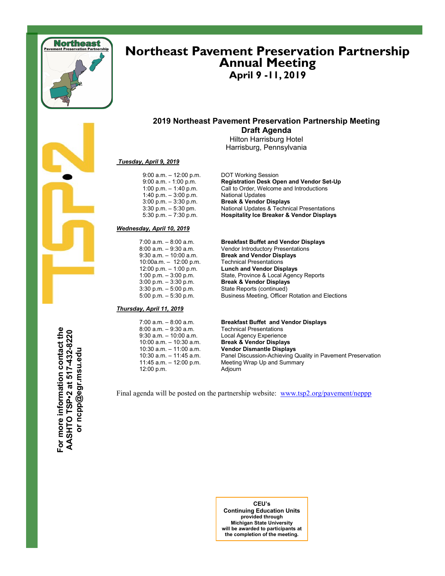

### **Northeast Pavement Preservation Partnership Annual Meeting April 9 -11, 2019**

### **2019 Northeast Pavement Preservation Partnership Meeting Draft Agenda**

Hilton Harrisburg Hotel Harrisburg, Pennsylvania

#### *Tuesday, April 9, 2019*

 9:00 a.m. – 12:00 p.m. DOT Working Session 1:00 p.m. – 1:40 p.m. Call to Order, We<br>
1:40 p.m. – 3:00 p.m. National Updates<br>
3:00 p.m. – 3:30 p.m. **Break & Vendor** 

#### *Wednesday, April 10, 2019*

7:00 a.m. – 8:00 a.m. **Breakfast Buffet and Vendor Displays** 10:00a.m. – 12:00 p.m.<br>12:00 p.m. – 1:00 p.m.<br>1:00 p.m. – 3:00 p.m.

#### *Thursday, April 11, 2019*

| $7:00$ a.m. $-8:00$ a.m.   |
|----------------------------|
| $8:00$ a.m. $-9:30$ a.m.   |
| $9:30$ a.m. $-10:00$ a.m.  |
| $10:00$ a.m. $-10:30$ a.m. |
| 10:30 a.m. - 11:00 a.m.    |
| 10:30 a.m. - 11:45 a.m.    |
| 11:45 a.m. – 12:00 p.m.    |
| 12:00 p.m.                 |

#### 9:00 a.m. - 1:00 p.m. **Registration Desk Open and Vendor Set-Up** Call to Order, Welcome and Introductions 3:00 p.m. – 3:30 p.m. **Break & Vendor Displays** 3:30 p.m. – 5:30 pm. National Updates & Technical Presentations<br>5:30 p.m. – 7:30 p.m. **Hospitality Ice Breaker & Vendor Displays** 5:30 p.m. – 7:30 p.m. **Hospitality Ice Breaker & Vendor Displays**

8:00 a.m. – 9:30 a.m. Vendor Introductory Presentations<br>9:30 a.m. – 10:00 a.m. **Break and Vendor Displays Break and Vendor Displays**<br>Technical Presentations **Lunch and Vendor Displays** State, Province & Local Agency Reports 3:00 p.m. – 3:30 p.m. **Break & Vendor Displays** 3:30 p.m. – 5:00 p.m. State Reports (continued)<br>5:00 p.m. – 5:30 p.m. Business Meeting, Officer Business Meeting, Officer Rotation and Elections

#### **Breakfast Buffet and Vendor Displays**

**Technical Presentations** Local Agency Experience **Break & Vendor Displays Vendor Dismantle Displays** Panel Discussion-Achieving Quality in Pavement Preservation Meeting Wrap Up and Summary Adjourn

Final agenda will be posted on the partnership website: [www.tsp2.org/pavement/neppp](http://www.tsp2.org/pavement/neppp)

**For more information contact the**  For more information contact the **AASHTO TSP•2 at 517-432-8220**  AASHTO TSP-2 at 517-432-8220 or ncpp@egr.msu.edu **or ncpp@egr.msu.edu**

> **CEU's Continuing Education Units provided through Michigan State University will be awarded to participants at the completion of the meeting.**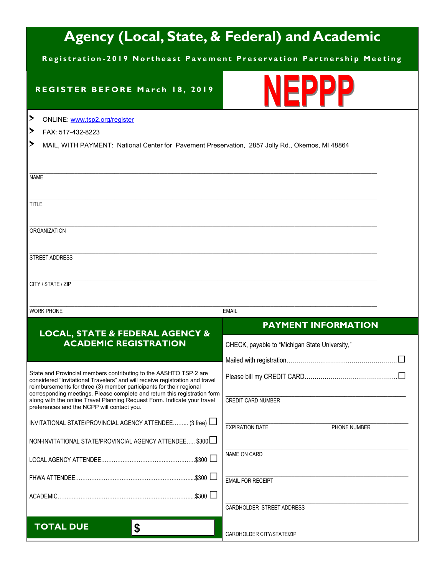# **Agency (Local, State, & Federal) and Academic**

**Registration-2019 Northeast Pavement Preservation Partnership Meeting** 

### **REGISTER BEFORE March 18, 2019**



| ▸<br>ONLINE: www.tsp2.org/register                                                                                                                |                                                |  |  |  |
|---------------------------------------------------------------------------------------------------------------------------------------------------|------------------------------------------------|--|--|--|
| ▸<br>FAX: 517-432-8223                                                                                                                            |                                                |  |  |  |
| ⋗<br>MAIL, WITH PAYMENT: National Center for Pavement Preservation, 2857 Jolly Rd., Okemos, MI 48864                                              |                                                |  |  |  |
|                                                                                                                                                   |                                                |  |  |  |
|                                                                                                                                                   |                                                |  |  |  |
| <b>NAME</b>                                                                                                                                       |                                                |  |  |  |
|                                                                                                                                                   |                                                |  |  |  |
| <b>TITLE</b>                                                                                                                                      |                                                |  |  |  |
|                                                                                                                                                   |                                                |  |  |  |
| <b>ORGANIZATION</b>                                                                                                                               |                                                |  |  |  |
|                                                                                                                                                   |                                                |  |  |  |
| STREET ADDRESS                                                                                                                                    |                                                |  |  |  |
|                                                                                                                                                   |                                                |  |  |  |
| CITY / STATE / ZIP                                                                                                                                |                                                |  |  |  |
|                                                                                                                                                   |                                                |  |  |  |
| <b>WORK PHONE</b>                                                                                                                                 | <b>EMAIL</b>                                   |  |  |  |
|                                                                                                                                                   |                                                |  |  |  |
|                                                                                                                                                   |                                                |  |  |  |
|                                                                                                                                                   | <b>PAYMENT INFORMATION</b>                     |  |  |  |
| <b>LOCAL, STATE &amp; FEDERAL AGENCY &amp;</b><br><b>ACADEMIC REGISTRATION</b>                                                                    | CHECK, payable to "Michigan State University," |  |  |  |
|                                                                                                                                                   |                                                |  |  |  |
|                                                                                                                                                   |                                                |  |  |  |
| State and Provincial members contributing to the AASHTO TSP.2 are<br>considered "Invitational Travelers" and will receive registration and travel |                                                |  |  |  |
| reimbursements for three (3) member participants for their regional<br>corresponding meetings. Please complete and return this registration form  |                                                |  |  |  |
| along with the online Travel Planning Request Form. Indicate your travel<br>preferences and the NCPP will contact you.                            | CREDIT CARD NUMBER                             |  |  |  |
|                                                                                                                                                   |                                                |  |  |  |
| INVITATIONAL STATE/PROVINCIAL AGENCY ATTENDEE (3 free)                                                                                            | <b>EXPIRATION DATE</b><br>PHONE NUMBER         |  |  |  |
| NON-INVITATIONAL STATE/PROVINCIAL AGENCY ATTENDEE \$300                                                                                           |                                                |  |  |  |
|                                                                                                                                                   | NAME ON CARD                                   |  |  |  |
|                                                                                                                                                   |                                                |  |  |  |
|                                                                                                                                                   | <b>EMAIL FOR RECEIPT</b>                       |  |  |  |
|                                                                                                                                                   |                                                |  |  |  |
|                                                                                                                                                   | CARDHOLDER STREET ADDRESS                      |  |  |  |
| <b>TOTAL DUE</b><br>\$                                                                                                                            |                                                |  |  |  |